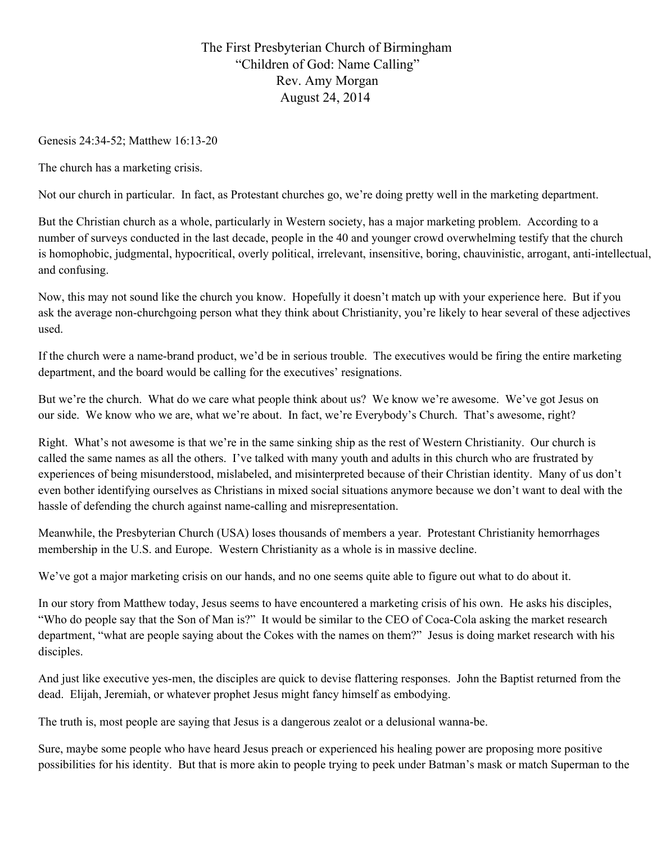## The First Presbyterian Church of Birmingham "Children of God: Name Calling" Rev. Amy Morgan August 24, 2014

Genesis 24:34-52; Matthew 16:13-20

The church has a marketing crisis.

Not our church in particular. In fact, as Protestant churches go, we're doing pretty well in the marketing department.

But the Christian church as a whole, particularly in Western society, has a major marketing problem. According to a number of surveys conducted in the last decade, people in the 40 and younger crowd overwhelming testify that the church is homophobic, judgmental, hypocritical, overly political, irrelevant, insensitive, boring, chauvinistic, arrogant, anti-intellectual, and confusing.

Now, this may not sound like the church you know. Hopefully it doesn't match up with your experience here. But if you ask the average non-churchgoing person what they think about Christianity, you're likely to hear several of these adjectives used.

If the church were a namebrand product, we'd be in serious trouble. The executives would be firing the entire marketing department, and the board would be calling for the executives' resignations.

But we're the church. What do we care what people think about us? We know we're awesome. We've got Jesus on our side. We know who we are, what we're about. In fact, we're Everybody's Church. That's awesome, right?

Right. What's not awesome is that we're in the same sinking ship as the rest of Western Christianity. Our church is called the same names as all the others. I've talked with many youth and adults in this church who are frustrated by experiences of being misunderstood, mislabeled, and misinterpreted because of their Christian identity. Many of us don't even bother identifying ourselves as Christians in mixed social situations anymore because we don't want to deal with the hassle of defending the church against name-calling and misrepresentation.

Meanwhile, the Presbyterian Church (USA) loses thousands of members a year. Protestant Christianity hemorrhages membership in the U.S. and Europe. Western Christianity as a whole is in massive decline.

We've got a major marketing crisis on our hands, and no one seems quite able to figure out what to do about it.

In our story from Matthew today, Jesus seems to have encountered a marketing crisis of his own. He asks his disciples, "Who do people say that the Son of Man is?" It would be similar to the CEO of Coca-Cola asking the market research department, "what are people saying about the Cokes with the names on them?" Jesus is doing market research with his disciples.

And just like executive yes-men, the disciples are quick to devise flattering responses. John the Baptist returned from the dead. Elijah, Jeremiah, or whatever prophet Jesus might fancy himself as embodying.

The truth is, most people are saying that Jesus is a dangerous zealot or a delusional wanna-be.

Sure, maybe some people who have heard Jesus preach or experienced his healing power are proposing more positive possibilities for his identity. But that is more akin to people trying to peek under Batman's mask or match Superman to the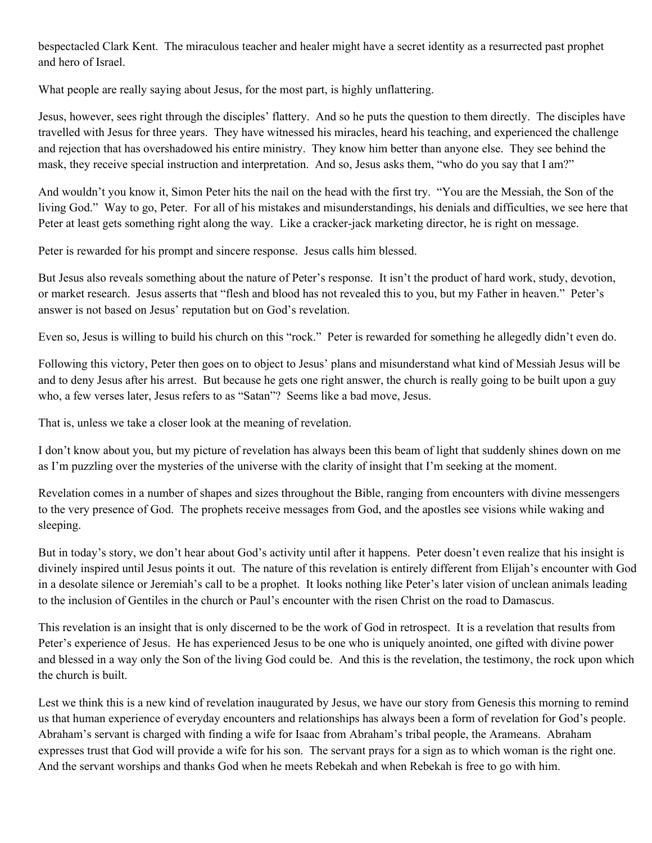bespectacled Clark Kent. The miraculous teacher and healer might have a secret identity as a resurrected past prophet and hero of Israel.

What people are really saying about Jesus, for the most part, is highly unflattering.

Jesus, however, sees right through the disciples' flattery. And so he puts the question to them directly. The disciples have travelled with Jesus for three years. They have witnessed his miracles, heard his teaching, and experienced the challenge and rejection that has overshadowed his entire ministry. They know him better than anyone else. They see behind the mask, they receive special instruction and interpretation. And so, Jesus asks them, "who do you say that I am?"

And wouldn't you know it, Simon Peter hits the nail on the head with the first try. "You are the Messiah, the Son of the living God." Way to go, Peter. For all of his mistakes and misunderstandings, his denials and difficulties, we see here that Peter at least gets something right along the way. Like a cracker-jack marketing director, he is right on message.

Peter is rewarded for his prompt and sincere response. Jesus calls him blessed.

But Jesus also reveals something about the nature of Peter's response. It isn't the product of hard work, study, devotion, or market research. Jesus asserts that "flesh and blood has not revealed this to you, but my Father in heaven." Peter's answer is not based on Jesus' reputation but on God's revelation.

Even so, Jesus is willing to build his church on this "rock." Peter is rewarded for something he allegedly didn't even do.

Following this victory, Peter then goes on to object to Jesus' plans and misunderstand what kind of Messiah Jesus will be and to deny Jesus after his arrest. But because he gets one right answer, the church is really going to be built upon a guy who, a few verses later, Jesus refers to as "Satan"? Seems like a bad move, Jesus.

That is, unless we take a closer look at the meaning of revelation.

I don't know about you, but my picture of revelation has always been this beam of light that suddenly shines down on me as I'm puzzling over the mysteries of the universe with the clarity of insight that I'm seeking at the moment.

Revelation comes in a number of shapes and sizes throughout the Bible, ranging from encounters with divine messengers to the very presence of God. The prophets receive messages from God, and the apostles see visions while waking and sleeping.

But in today's story, we don't hear about God's activity until after it happens. Peter doesn't even realize that his insight is divinely inspired until Jesus points it out. The nature of this revelation is entirely different from Elijah's encounter with God in a desolate silence or Jeremiah's call to be a prophet. It looks nothing like Peter's later vision of unclean animals leading to the inclusion of Gentiles in the church or Paul's encounter with the risen Christ on the road to Damascus.

This revelation is an insight that is only discerned to be the work of God in retrospect. It is a revelation that results from Peter's experience of Jesus. He has experienced Jesus to be one who is uniquely anointed, one gifted with divine power and blessed in a way only the Son of the living God could be. And this is the revelation, the testimony, the rock upon which the church is built.

Lest we think this is a new kind of revelation inaugurated by Jesus, we have our story from Genesis this morning to remind us that human experience of everyday encounters and relationships has always been a form of revelation for God's people. Abraham's servant is charged with finding a wife for Isaac from Abraham's tribal people, the Arameans. Abraham expresses trust that God will provide a wife for his son. The servant prays for a sign as to which woman is the right one. And the servant worships and thanks God when he meets Rebekah and when Rebekah is free to go with him.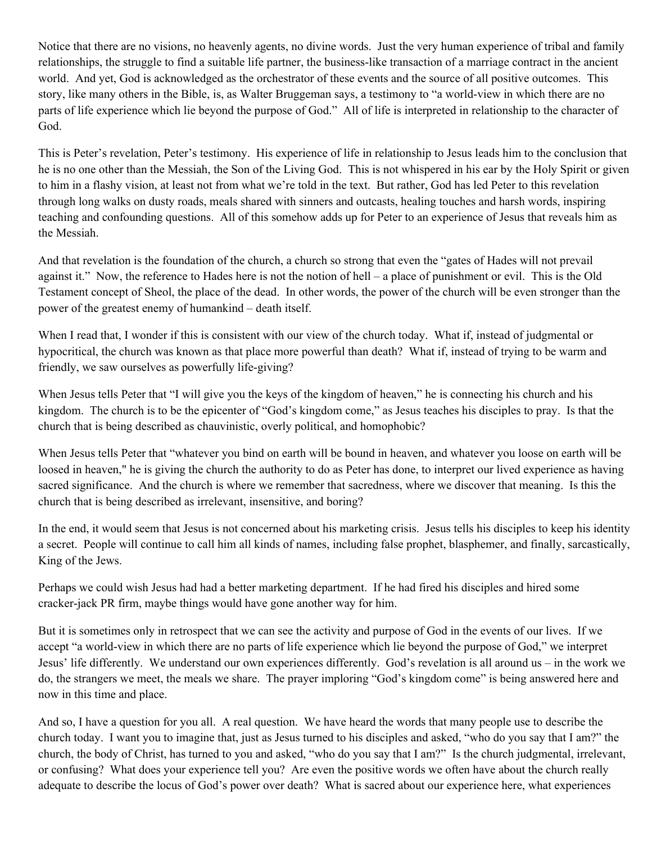Notice that there are no visions, no heavenly agents, no divine words. Just the very human experience of tribal and family relationships, the struggle to find a suitable life partner, the business-like transaction of a marriage contract in the ancient world. And yet, God is acknowledged as the orchestrator of these events and the source of all positive outcomes. This story, like many others in the Bible, is, as Walter Bruggeman says, a testimony to "a world-view in which there are no parts of life experience which lie beyond the purpose of God." All of life is interpreted in relationship to the character of God.

This is Peter's revelation, Peter's testimony. His experience of life in relationship to Jesus leads him to the conclusion that he is no one other than the Messiah, the Son of the Living God. This is not whispered in his ear by the Holy Spirit or given to him in a flashy vision, at least not from what we're told in the text. But rather, God has led Peter to this revelation through long walks on dusty roads, meals shared with sinners and outcasts, healing touches and harsh words, inspiring teaching and confounding questions. All of this somehow adds up for Peter to an experience of Jesus that reveals him as the Messiah.

And that revelation is the foundation of the church, a church so strong that even the "gates of Hades will not prevail against it." Now, the reference to Hades here is not the notion of hell – a place of punishment or evil. This is the Old Testament concept of Sheol, the place of the dead. In other words, the power of the church will be even stronger than the power of the greatest enemy of humankind – death itself.

When I read that, I wonder if this is consistent with our view of the church today. What if, instead of judgmental or hypocritical, the church was known as that place more powerful than death? What if, instead of trying to be warm and friendly, we saw ourselves as powerfully life-giving?

When Jesus tells Peter that "I will give you the keys of the kingdom of heaven," he is connecting his church and his kingdom. The church is to be the epicenter of "God's kingdom come," as Jesus teaches his disciples to pray. Is that the church that is being described as chauvinistic, overly political, and homophobic?

When Jesus tells Peter that "whatever you bind on earth will be bound in heaven, and whatever you loose on earth will be loosed in heaven," he is giving the church the authority to do as Peter has done, to interpret our lived experience as having sacred significance. And the church is where we remember that sacredness, where we discover that meaning. Is this the church that is being described as irrelevant, insensitive, and boring?

In the end, it would seem that Jesus is not concerned about his marketing crisis. Jesus tells his disciples to keep his identity a secret. People will continue to call him all kinds of names, including false prophet, blasphemer, and finally, sarcastically, King of the Jews.

Perhaps we could wish Jesus had had a better marketing department. If he had fired his disciples and hired some cracker-jack PR firm, maybe things would have gone another way for him.

But it is sometimes only in retrospect that we can see the activity and purpose of God in the events of our lives. If we accept "a world-view in which there are no parts of life experience which lie beyond the purpose of God," we interpret Jesus' life differently. We understand our own experiences differently. God's revelation is all around us – in the work we do, the strangers we meet, the meals we share. The prayer imploring "God's kingdom come" is being answered here and now in this time and place.

And so, I have a question for you all. A real question. We have heard the words that many people use to describe the church today. I want you to imagine that, just as Jesus turned to his disciples and asked, "who do you say that I am?" the church, the body of Christ, has turned to you and asked, "who do you say that I am?" Is the church judgmental, irrelevant, or confusing? What does your experience tell you? Are even the positive words we often have about the church really adequate to describe the locus of God's power over death? What is sacred about our experience here, what experiences